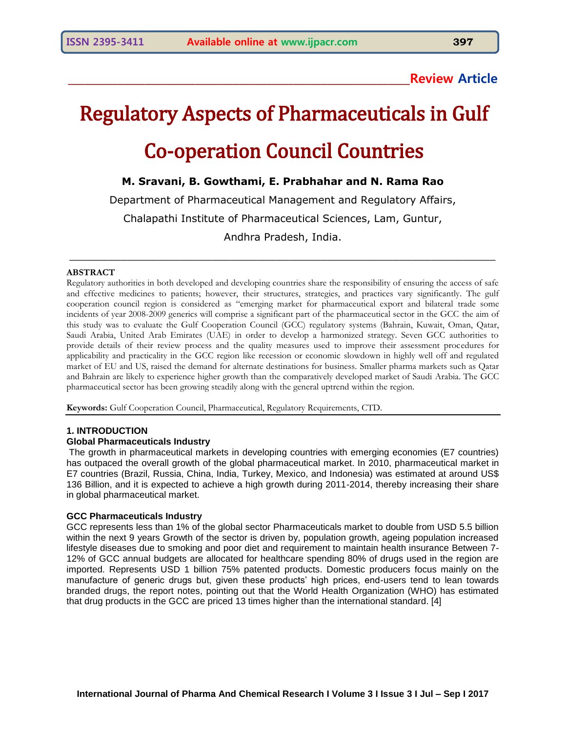**\_\_\_\_\_\_\_\_\_\_\_\_\_\_\_\_\_\_\_\_\_\_\_\_\_\_\_\_\_\_\_\_\_\_\_\_\_\_\_\_\_\_\_\_\_\_\_\_\_\_\_\_\_\_\_\_\_\_\_\_\_\_Review Article**

# Regulatory Aspects of Pharmaceuticals in Gulf Co-operation Council Countries

# **M. Sravani, B. Gowthami, E. Prabhahar and N. Rama Rao**

Department of Pharmaceutical Management and Regulatory Affairs,

Chalapathi Institute of Pharmaceutical Sciences, Lam, Guntur,

Andhra Pradesh, India.

 $\_$  , and the set of the set of the set of the set of the set of the set of the set of the set of the set of the set of the set of the set of the set of the set of the set of the set of the set of the set of the set of th

#### **ABSTRACT**

Regulatory authorities in both developed and developing countries share the responsibility of ensuring the access of safe and effective medicines to patients; however, their structures, strategies, and practices vary significantly. The gulf cooperation council region is considered as "emerging market for pharmaceutical export and bilateral trade some incidents of year 2008-2009 generics will comprise a significant part of the pharmaceutical sector in the GCC the aim of this study was to evaluate the Gulf Cooperation Council (GCC) regulatory systems (Bahrain, Kuwait, Oman, Qatar, Saudi Arabia, United Arab Emirates (UAE) in order to develop a harmonized strategy. Seven GCC authorities to provide details of their review process and the quality measures used to improve their assessment procedures for applicability and practicality in the GCC region like recession or economic slowdown in highly well off and regulated market of EU and US, raised the demand for alternate destinations for business. Smaller pharma markets such as Qatar and Bahrain are likely to experience higher growth than the comparatively developed market of Saudi Arabia. The GCC pharmaceutical sector has been growing steadily along with the general uptrend within the region.

**Keywords:** Gulf Cooperation Council, Pharmaceutical, Regulatory Requirements, CTD.

#### **1. INTRODUCTION**

#### **Global Pharmaceuticals Industry**

The growth in pharmaceutical markets in developing countries with emerging economies (E7 countries) has outpaced the overall growth of the global pharmaceutical market. In 2010, pharmaceutical market in E7 countries (Brazil, Russia, China, India, Turkey, Mexico, and Indonesia) was estimated at around US\$ 136 Billion, and it is expected to achieve a high growth during 2011-2014, thereby increasing their share in global pharmaceutical market.

#### **GCC Pharmaceuticals Industry**

GCC represents less than 1% of the global sector Pharmaceuticals market to double from USD 5.5 billion within the next 9 years Growth of the sector is driven by, population growth, ageing population increased lifestyle diseases due to smoking and poor diet and requirement to maintain health insurance Between 7- 12% of GCC annual budgets are allocated for healthcare spending 80% of drugs used in the region are imported. Represents USD 1 billion 75% patented products. Domestic producers focus mainly on the manufacture of generic drugs but, given these products' high prices, end-users tend to lean towards branded drugs, the report notes, pointing out that the World Health Organization (WHO) has estimated that drug products in the GCC are priced 13 times higher than the international standard. [4]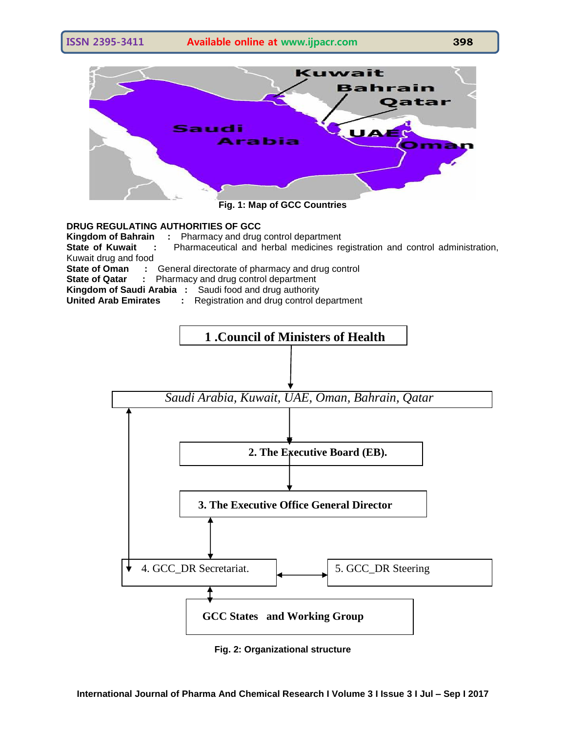

**Fig. 1: Map of GCC Countries**

## **DRUG REGULATING AUTHORITIES OF GCC**

**Kingdom of Bahrain :** Pharmacy and drug control department

**State of Kuwait :** Pharmaceutical and herbal medicines registration and control administration, Kuwait drug and food

**State of Oman :** General directorate of pharmacy and drug control

**State of Qatar :** Pharmacy and drug control department

**Kingdom of Saudi Arabia :** Saudi food and drug authority

**United Arab Emirates :** Registration and drug control department



**Fig. 2: Organizational structure**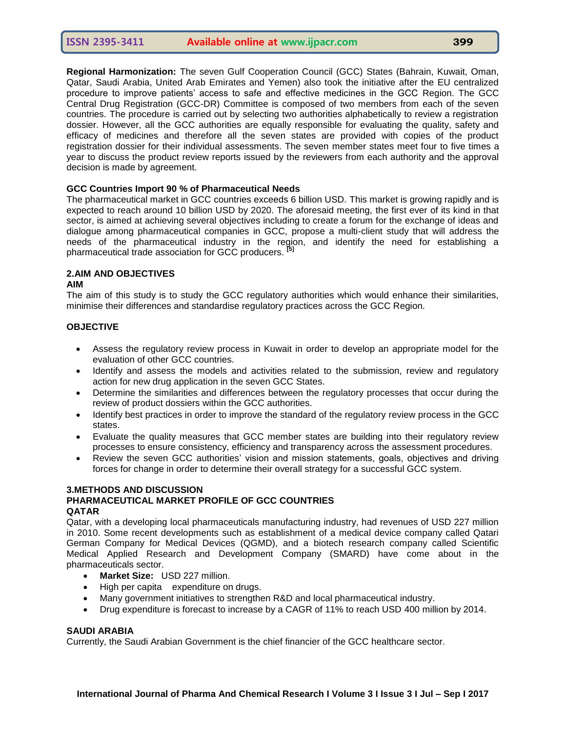**Regional Harmonization:** The seven Gulf Cooperation Council (GCC) States (Bahrain, Kuwait, Oman, Qatar, Saudi Arabia, United Arab Emirates and Yemen) also took the initiative after the EU centralized procedure to improve patients' access to safe and effective medicines in the GCC Region. The GCC Central Drug Registration (GCC-DR) Committee is composed of two members from each of the seven countries. The procedure is carried out by selecting two authorities alphabetically to review a registration dossier. However, all the GCC authorities are equally responsible for evaluating the quality, safety and efficacy of medicines and therefore all the seven states are provided with copies of the product registration dossier for their individual assessments. The seven member states meet four to five times a year to discuss the product review reports issued by the reviewers from each authority and the approval decision is made by agreement.

#### **[GCC Countries Import 90 % of Pharmaceutical Needs](http://www.english.globalarabnetwork.com/GCC-Business/gcc-countries-import-90-of-pharmaceutical-needs.html)**

The pharmaceutical market in GCC countries exceeds 6 billion USD. This market is growing rapidly and is expected to reach around 10 billion USD by 2020. The aforesaid meeting, the first ever of its kind in that sector, is aimed at achieving several objectives including to create a forum for the exchange of ideas and dialogue among pharmaceutical companies in GCC, propose a multi-client study that will address the needs of the pharmaceutical industry in the region, and identify the need for establishing a pharmaceutical trade association for GCC producers. **[5]**

# **2.AIM AND OBJECTIVES**

#### **AIM**

The aim of this study is to study the GCC regulatory authorities which would enhance their similarities, minimise their differences and standardise regulatory practices across the GCC Region.

#### **OBJECTIVE**

- Assess the regulatory review process in Kuwait in order to develop an appropriate model for the evaluation of other GCC countries.
- Identify and assess the models and activities related to the submission, review and regulatory action for new drug application in the seven GCC States.
- Determine the similarities and differences between the regulatory processes that occur during the review of product dossiers within the GCC authorities.
- Identify best practices in order to improve the standard of the regulatory review process in the GCC states.
- Evaluate the quality measures that GCC member states are building into their regulatory review processes to ensure consistency, efficiency and transparency across the assessment procedures.
- Review the seven GCC authorities' vision and mission statements, goals, objectives and driving forces for change in order to determine their overall strategy for a successful GCC system.

#### **3.METHODS AND DISCUSSION**

## **PHARMACEUTICAL MARKET PROFILE OF GCC COUNTRIES QATAR**

Qatar, with a developing local pharmaceuticals manufacturing industry, had revenues of USD 227 million in 2010. Some recent developments such as establishment of a medical device company called Qatari German Company for Medical Devices (QGMD), and a biotech research company called Scientific Medical Applied Research and Development Company (SMARD) have come about in the pharmaceuticals sector.

- **Market Size:** USD 227 million.
- High per capita expenditure on drugs.
- Many government initiatives to strengthen R&D and local pharmaceutical industry.
- Drug expenditure is forecast to increase by a CAGR of 11% to reach USD 400 million by 2014.

#### **SAUDI ARABIA**

Currently, the Saudi Arabian Government is the chief financier of the GCC healthcare sector.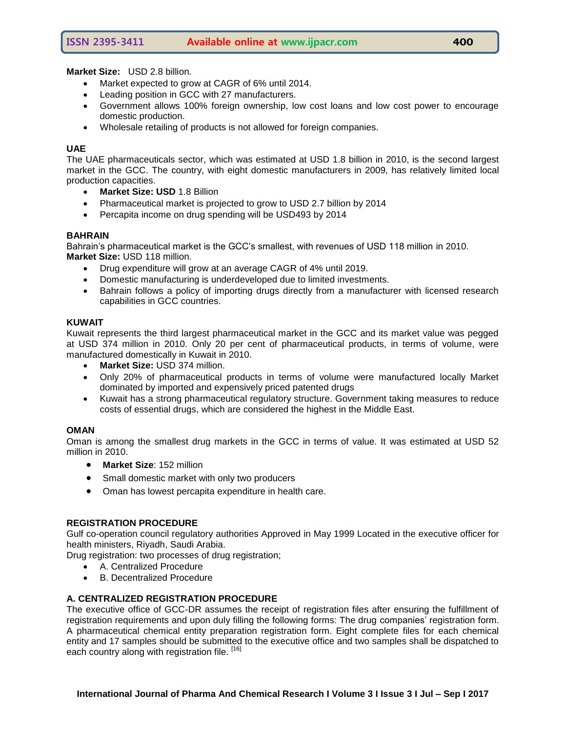**Market Size:** USD 2.8 billion.

- Market expected to grow at CAGR of 6% until 2014.
- Leading position in GCC with 27 manufacturers.
- Government allows 100% foreign ownership, low cost loans and low cost power to encourage domestic production.
- Wholesale retailing of products is not allowed for foreign companies.

#### **UAE**

The UAE pharmaceuticals sector, which was estimated at USD 1.8 billion in 2010, is the second largest market in the GCC. The country, with eight domestic manufacturers in 2009, has relatively limited local production capacities.

- **Market Size: USD** 1.8 Billion
- Pharmaceutical market is projected to grow to USD 2.7 billion by 2014
- Percapita income on drug spending will be USD493 by 2014

#### **BAHRAIN**

Bahrain's pharmaceutical market is the GCC's smallest, with revenues of USD 118 million in 2010. **Market Size:** USD 118 million.

- Drug expenditure will grow at an average CAGR of 4% until 2019.
- Domestic manufacturing is underdeveloped due to limited investments.
- Bahrain follows a policy of importing drugs directly from a manufacturer with licensed research capabilities in GCC countries.

#### **KUWAIT**

Kuwait represents the third largest pharmaceutical market in the GCC and its market value was pegged at USD 374 million in 2010. Only 20 per cent of pharmaceutical products, in terms of volume, were manufactured domestically in Kuwait in 2010.

- **Market Size:** USD 374 million.
- Only 20% of pharmaceutical products in terms of volume were manufactured locally Market dominated by imported and expensively priced patented drugs
- Kuwait has a strong pharmaceutical regulatory structure. Government taking measures to reduce costs of essential drugs, which are considered the highest in the Middle East.

#### **OMAN**

Oman is among the smallest drug markets in the GCC in terms of value. It was estimated at USD 52 million in 2010.

- **Market Size**: 152 million
- Small domestic market with only two producers
- Oman has lowest percapita expenditure in health care.

#### **REGISTRATION PROCEDURE**

Gulf co-operation council regulatory authorities Approved in May 1999 Located in the executive officer for health ministers, Riyadh, Saudi Arabia.

Drug registration: two processes of drug registration;

- A. Centralized Procedure
- B. Decentralized Procedure

## **A. CENTRALIZED REGISTRATION PROCEDURE**

The executive office of GCC-DR assumes the receipt of registration files after ensuring the fulfillment of registration requirements and upon duly filling the following forms: The drug companies' registration form. A pharmaceutical chemical entity preparation registration form. Eight complete files for each chemical entity and 17 samples should be submitted to the executive office and two samples shall be dispatched to each country along with registration file. [16]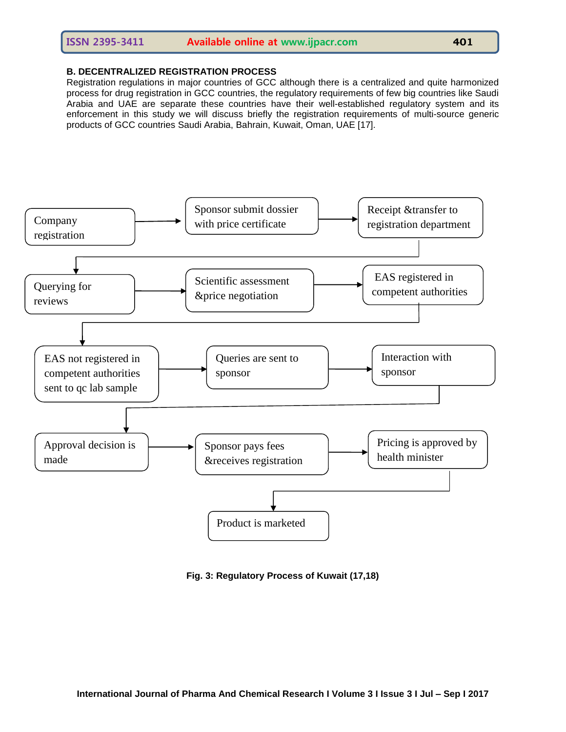## **B. DECENTRALIZED REGISTRATION PROCESS**

Registration regulations in major countries of GCC although there is a centralized and quite harmonized process for drug registration in GCC countries, the regulatory requirements of few big countries like Saudi Arabia and UAE are separate these countries have their well-established regulatory system and its enforcement in this study we will discuss briefly the registration requirements of multi-source generic products of GCC countries Saudi Arabia, Bahrain, Kuwait, Oman, UAE [17].



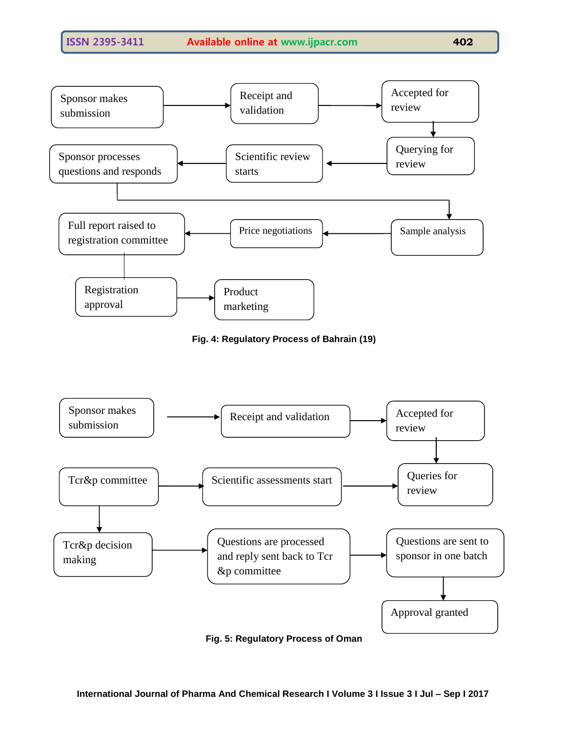

**Fig. 4: Regulatory Process of Bahrain (19)**



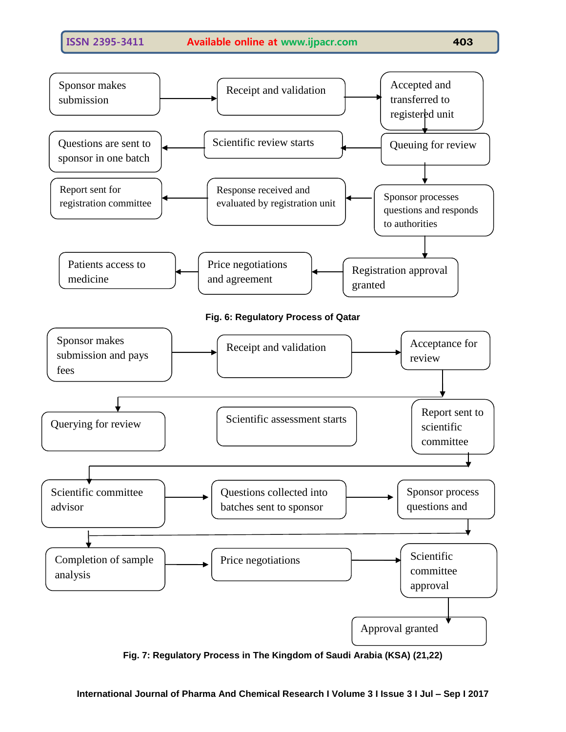

**Fig. 7: Regulatory Process in The Kingdom of Saudi Arabia (KSA) (21,22)**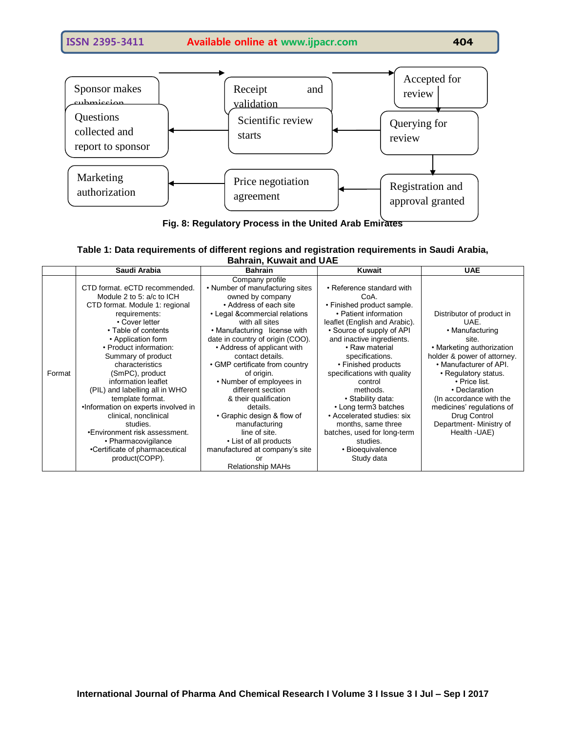

**Fig. 8: Regulatory Process in the United Arab Emirates**

| Table 1: Data requirements of different regions and registration requirements in Saudi Arabia, |  |  |  |  |  |
|------------------------------------------------------------------------------------------------|--|--|--|--|--|
| <b>Bahrain, Kuwait and UAE</b>                                                                 |  |  |  |  |  |

|        | Saudi Arabia                        | <b>Bahrain</b>                   | <b>Kuwait</b>                 | <b>UAE</b>                  |
|--------|-------------------------------------|----------------------------------|-------------------------------|-----------------------------|
|        |                                     | Company profile                  |                               |                             |
|        | CTD format, eCTD recommended.       | • Number of manufacturing sites  | • Reference standard with     |                             |
|        | Module 2 to 5: a/c to ICH           | owned by company                 | CoA.                          |                             |
|        | CTD format. Module 1: regional      | • Address of each site           | • Finished product sample.    |                             |
|        | requirements:                       | • Legal &commercial relations    | • Patient information         | Distributor of product in   |
|        | • Cover letter                      | with all sites                   | leaflet (English and Arabic). | UAE.                        |
|        | • Table of contents                 | • Manufacturing license with     | • Source of supply of API     | • Manufacturing             |
|        | • Application form                  | date in country of origin (COO). | and inactive ingredients.     | site.                       |
|        | • Product information:              | • Address of applicant with      | • Raw material                | • Marketing authorization   |
|        | Summary of product                  | contact details.                 | specifications.               | holder & power of attorney. |
|        | characteristics                     | • GMP certificate from country   | • Finished products           | • Manufacturer of API.      |
| Format | (SmPC), product                     | of origin.                       | specifications with quality   | • Regulatory status.        |
|        | information leaflet                 | • Number of employees in         | control                       | $\cdot$ Price list.         |
|        | (PIL) and labelling all in WHO      | different section                | methods.                      | • Declaration               |
|        | template format.                    | & their qualification            | • Stability data:             | (In accordance with the     |
|        | .Information on experts involved in | details.                         | • Long term3 batches          | medicines' regulations of   |
|        | clinical, nonclinical               | • Graphic design & flow of       | • Accelerated studies: six    | Drug Control                |
|        | studies.                            | manufacturing                    | months, same three            | Department- Ministry of     |
|        | •Environment risk assessment.       | line of site.                    | batches, used for long-term   | Health -UAE)                |
|        | • Pharmacovigilance                 | • List of all products           | studies.                      |                             |
|        | •Certificate of pharmaceutical      | manufactured at company's site   | • Bioequivalence              |                             |
|        | product(COPP).                      | nr                               | Study data                    |                             |
|        |                                     | <b>Relationship MAHs</b>         |                               |                             |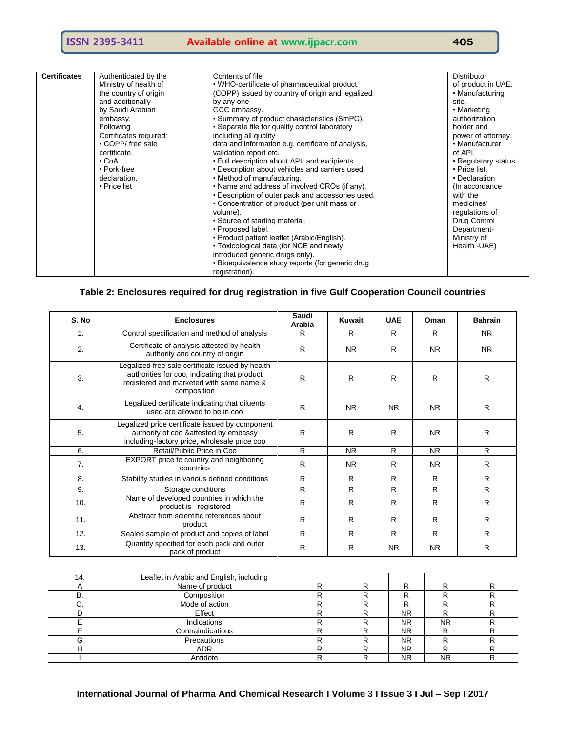| <b>Certificates</b> | Authenticated by the   | Contents of file                                   | <b>Distributor</b>   |
|---------------------|------------------------|----------------------------------------------------|----------------------|
|                     | Ministry of health of  | • WHO-certificate of pharmaceutical product        | of product in UAE.   |
|                     |                        |                                                    |                      |
|                     | the country of origin  | (COPP) issued by country of origin and legalized   | • Manufacturing      |
|                     | and additionally       | by any one                                         | site.                |
|                     | by Saudi Arabian       | GCC embassy.                                       | • Marketing          |
|                     | embassy.               | • Summary of product characteristics (SmPC).       | authorization        |
|                     | Following              | • Separate file for quality control laboratory     | holder and           |
|                     | Certificates required: | including all quality                              | power of attorney.   |
|                     | • COPP/ free sale      | data and information e.g. certificate of analysis, | • Manufacturer       |
|                     | certificate.           | validation report etc.                             | of API.              |
|                     | $\cdot$ CoA.           | • Full description about API, and excipients.      | • Regulatory status. |
|                     | • Pork-free            | . Description about vehicles and carriers used.    | • Price list.        |
|                     | declaration.           | • Method of manufacturing.                         | • Declaration        |
|                     | • Price list           | • Name and address of involved CROs (if any).      | (In accordance)      |
|                     |                        | • Description of outer pack and accessories used.  | with the             |
|                     |                        | • Concentration of product (per unit mass or       | medicines'           |
|                     |                        | volume).                                           | regulations of       |
|                     |                        | • Source of starting material.                     | Drug Control         |
|                     |                        | • Proposed label.                                  | Department-          |
|                     |                        | • Product patient leaflet (Arabic/English).        | Ministry of          |
|                     |                        | • Toxicological data (for NCE and newly            | Health - UAE)        |
|                     |                        | introduced generic drugs only).                    |                      |
|                     |                        | • Bioequivalence study reports (for generic drug   |                      |
|                     |                        | registration).                                     |                      |

# **Table 2: Enclosures required for drug registration in five Gulf Cooperation Council countries**

| S. No                                                                                                                                                                                                                                                    | <b>Enclosures</b>                                                                                                                         |    | Kuwait       | <b>UAE</b>     | Oman      | <b>Bahrain</b> |
|----------------------------------------------------------------------------------------------------------------------------------------------------------------------------------------------------------------------------------------------------------|-------------------------------------------------------------------------------------------------------------------------------------------|----|--------------|----------------|-----------|----------------|
| 1.                                                                                                                                                                                                                                                       | Control specification and method of analysis                                                                                              |    | R            | R              | R         | <b>NR</b>      |
| Certificate of analysis attested by health<br>2.<br>authority and country of origin<br>Legalized free sale certificate issued by health<br>authorities for coo, indicating that product<br>3.<br>registered and marketed with same name &<br>composition |                                                                                                                                           | R  | NR.          | R              | <b>NR</b> | <b>NR</b>      |
|                                                                                                                                                                                                                                                          |                                                                                                                                           | R  | $\mathsf{R}$ | $\mathsf{R}$   | R         | R              |
| 4.                                                                                                                                                                                                                                                       | Legalized certificate indicating that diluents<br>used are allowed to be in coo                                                           | R  | <b>NR</b>    | <b>NR</b>      | <b>NR</b> | R              |
| 5.                                                                                                                                                                                                                                                       | Legalized price certificate issued by component<br>authority of coo & attested by embassy<br>including-factory price, wholesale price coo | R  | R            | R              | <b>NR</b> | $\mathsf{R}$   |
| 6.<br>Retail/Public Price in Coo                                                                                                                                                                                                                         |                                                                                                                                           | R  | <b>NR</b>    | R              | <b>NR</b> | R              |
| 7.                                                                                                                                                                                                                                                       | EXPORT price to country and neighboring<br>countries                                                                                      | R  | <b>NR</b>    | R              | <b>NR</b> | R              |
| 8.                                                                                                                                                                                                                                                       | Stability studies in various defined conditions                                                                                           | R  | R            | R              | R         | R              |
| 9.                                                                                                                                                                                                                                                       | Storage conditions                                                                                                                        | R  | R            | R              | R.        | R              |
| 10.                                                                                                                                                                                                                                                      | Name of developed countries in which the<br>product is registered                                                                         | R  | R            | R              | R         | R              |
| 11.                                                                                                                                                                                                                                                      | Abstract from scientific references about<br>product                                                                                      | R  | R            | $\mathsf{R}$   | R         | $\mathsf{R}$   |
| 12.                                                                                                                                                                                                                                                      | Sealed sample of product and copies of label                                                                                              | R. | R            | R              | R         | R              |
| 13.                                                                                                                                                                                                                                                      | Quantity specified for each pack and outer<br>pack of product                                                                             | R  | R            | N <sub>R</sub> | <b>NR</b> | R              |

| 14. | Leaflet in Arabic and English, including |  |           |     |  |
|-----|------------------------------------------|--|-----------|-----|--|
|     | Name of product                          |  |           |     |  |
|     | Composition                              |  |           |     |  |
|     | Mode of action                           |  |           |     |  |
|     | Effect                                   |  | NR        |     |  |
|     | Indications                              |  | NR        | NR. |  |
|     | Contraindications                        |  | <b>NR</b> |     |  |
| ı٦  | Precautions                              |  | NR        |     |  |
|     | <b>ADR</b>                               |  | <b>NR</b> |     |  |
|     | Antidote                                 |  | ΝR        | NR. |  |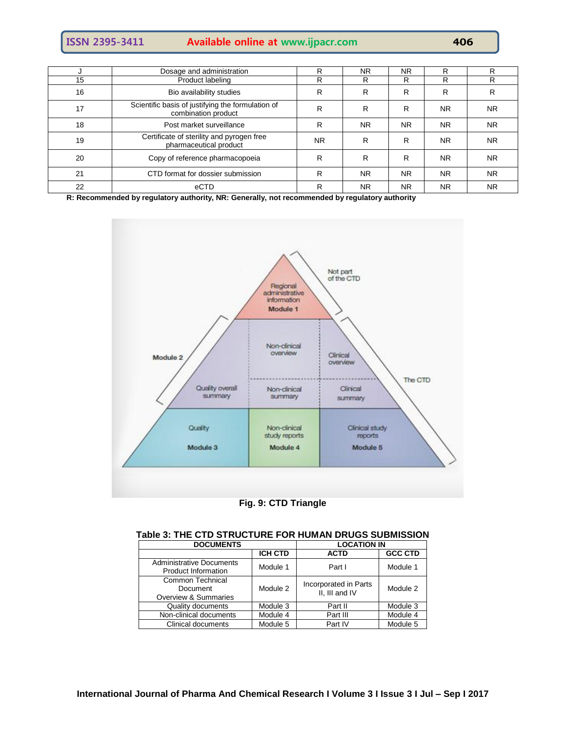| <b>ISSN 2395-3411</b> | <b>Available online at www.ijpacr.com</b> | 406 |
|-----------------------|-------------------------------------------|-----|
|-----------------------|-------------------------------------------|-----|

|    | Dosage and administration                                                | R         | <b>NR</b> | <b>NR</b> | R         | R         |
|----|--------------------------------------------------------------------------|-----------|-----------|-----------|-----------|-----------|
| 15 | Product labeling                                                         | R         | R         | R         | R         | R         |
| 16 | Bio availability studies                                                 | R         | R         | R         | R         | R         |
| 17 | Scientific basis of justifying the formulation of<br>combination product | R         | R         | R         | <b>NR</b> | <b>NR</b> |
| 18 | Post market surveillance                                                 | R         | <b>NR</b> | NR.       | <b>NR</b> | <b>NR</b> |
| 19 | Certificate of sterility and pyrogen free<br>pharmaceutical product      | <b>NR</b> | R         | R         | <b>NR</b> | <b>NR</b> |
| 20 | Copy of reference pharmacopoeia                                          | R         | R         | R         | <b>NR</b> | <b>NR</b> |
| 21 | CTD format for dossier submission                                        | R         | <b>NR</b> | NR.       | <b>NR</b> | <b>NR</b> |
| 22 | eCTD                                                                     | R         | <b>NR</b> | <b>NR</b> | <b>NR</b> | <b>NR</b> |

**R: Recommended by regulatory authority, NR: Generally, not recommended by regulatory authority**



## **Fig. 9: CTD Triangle**

| <b>DOCUMENTS</b>                                              | <b>LOCATION IN</b>  |                                         |                |  |  |  |
|---------------------------------------------------------------|---------------------|-----------------------------------------|----------------|--|--|--|
|                                                               | <b>ICH CTD</b>      | <b>ACTD</b>                             | <b>GCC CTD</b> |  |  |  |
| <b>Administrative Documents</b><br><b>Product Information</b> | Module 1            | Part I                                  | Module 1       |  |  |  |
| <b>Common Technical</b><br>Document<br>Overview & Summaries   | Module 2            | Incorporated in Parts<br>II, III and IV | Module 2       |  |  |  |
| Quality documents                                             | Module 3<br>Part II |                                         | Module 3       |  |  |  |
| Non-clinical documents                                        | Module 4            | Part III                                | Module 4       |  |  |  |
| Clinical documents                                            | Module 5            | Part IV                                 | Module 5       |  |  |  |

# **Table 3: THE CTD STRUCTURE FOR HUMAN DRUGS SUBMISSION**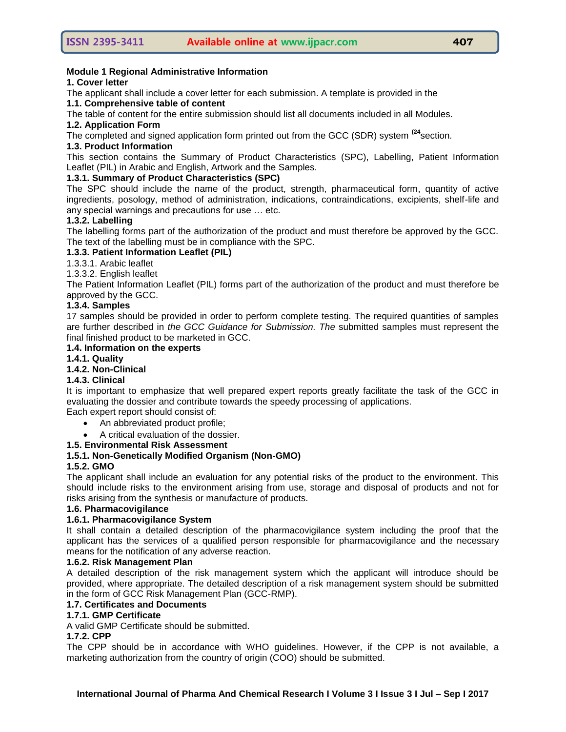## **Module 1 Regional Administrative Information**

#### **1. Cover letter**

The applicant shall include a cover letter for each submission. A template is provided in the

# **1.1. Comprehensive table of content**

The table of content for the entire submission should list all documents included in all Modules.

## **1.2. Application Form**

The completed and signed application form printed out from the GCC (SDR) system **(24**section.

## **1.3. Product Information**

This section contains the Summary of Product Characteristics (SPC), Labelling, Patient Information Leaflet (PIL) in Arabic and English, Artwork and the Samples.

## **1.3.1. Summary of Product Characteristics (SPC)**

The SPC should include the name of the product, strength, pharmaceutical form, quantity of active ingredients, posology, method of administration, indications, contraindications, excipients, shelf-life and any special warnings and precautions for use … etc.

## **1.3.2. Labelling**

The labelling forms part of the authorization of the product and must therefore be approved by the GCC. The text of the labelling must be in compliance with the SPC.

## **1.3.3. Patient Information Leaflet (PIL)**

1.3.3.1. Arabic leaflet

1.3.3.2. English leaflet

The Patient Information Leaflet (PIL) forms part of the authorization of the product and must therefore be approved by the GCC.

## **1.3.4. Samples**

17 samples should be provided in order to perform complete testing. The required quantities of samples are further described in *the GCC Guidance for Submission. The* submitted samples must represent the final finished product to be marketed in GCC.

## **1.4. Information on the experts**

#### **1.4.1. Quality**

## **1.4.2. Non-Clinical**

## **1.4.3. Clinical**

It is important to emphasize that well prepared expert reports greatly facilitate the task of the GCC in evaluating the dossier and contribute towards the speedy processing of applications.

- Each expert report should consist of:
	- An abbreviated product profile;
	- A critical evaluation of the dossier.

## **1.5. Environmental Risk Assessment**

## **1.5.1. Non-Genetically Modified Organism (Non-GMO)**

#### **1.5.2. GMO**

The applicant shall include an evaluation for any potential risks of the product to the environment. This should include risks to the environment arising from use, storage and disposal of products and not for risks arising from the synthesis or manufacture of products.

## **1.6. Pharmacovigilance**

## **1.6.1. Pharmacovigilance System**

It shall contain a detailed description of the pharmacovigilance system including the proof that the applicant has the services of a qualified person responsible for pharmacovigilance and the necessary means for the notification of any adverse reaction.

#### **1.6.2. Risk Management Plan**

A detailed description of the risk management system which the applicant will introduce should be provided, where appropriate. The detailed description of a risk management system should be submitted in the form of GCC Risk Management Plan (GCC-RMP).

#### **1.7. Certificates and Documents**

## **1.7.1. GMP Certificate**

A valid GMP Certificate should be submitted.

#### **1.7.2. CPP**

The CPP should be in accordance with WHO guidelines. However, if the CPP is not available, a marketing authorization from the country of origin (COO) should be submitted.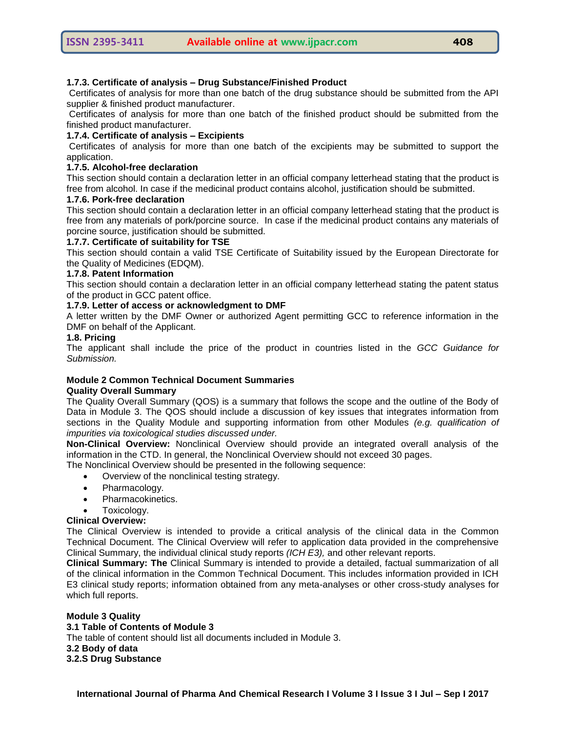#### **1.7.3. Certificate of analysis – Drug Substance/Finished Product**

Certificates of analysis for more than one batch of the drug substance should be submitted from the API supplier & finished product manufacturer.

Certificates of analysis for more than one batch of the finished product should be submitted from the finished product manufacturer.

#### **1.7.4. Certificate of analysis – Excipients**

Certificates of analysis for more than one batch of the excipients may be submitted to support the application.

## **1.7.5. Alcohol-free declaration**

This section should contain a declaration letter in an official company letterhead stating that the product is free from alcohol. In case if the medicinal product contains alcohol, justification should be submitted.

## **1.7.6. Pork-free declaration**

This section should contain a declaration letter in an official company letterhead stating that the product is free from any materials of pork/porcine source. In case if the medicinal product contains any materials of porcine source, justification should be submitted.

#### **1.7.7. Certificate of suitability for TSE**

This section should contain a valid TSE Certificate of Suitability issued by the European Directorate for the Quality of Medicines (EDQM).

## **1.7.8. Patent Information**

This section should contain a declaration letter in an official company letterhead stating the patent status of the product in GCC patent office.

## **1.7.9. Letter of access or acknowledgment to DMF**

A letter written by the DMF Owner or authorized Agent permitting GCC to reference information in the DMF on behalf of the Applicant.

#### **1.8. Pricing**

The applicant shall include the price of the product in countries listed in the *GCC Guidance for Submission.* 

#### **Module 2 Common Technical Document Summaries Quality Overall Summary**

The Quality Overall Summary (QOS) is a summary that follows the scope and the outline of the Body of Data in Module 3. The QOS should include a discussion of key issues that integrates information from sections in the Quality Module and supporting information from other Modules *(e.g. qualification of impurities via toxicological studies discussed under.*

**Non-Clinical Overview:** Nonclinical Overview should provide an integrated overall analysis of the information in the CTD. In general, the Nonclinical Overview should not exceed 30 pages.

The Nonclinical Overview should be presented in the following sequence:

- Overview of the nonclinical testing strategy.
- Pharmacology.
- Pharmacokinetics.
- Toxicology.

#### **Clinical Overview:**

The Clinical Overview is intended to provide a critical analysis of the clinical data in the Common Technical Document. The Clinical Overview will refer to application data provided in the comprehensive Clinical Summary, the individual clinical study reports *(ICH E3),* and other relevant reports.

**Clinical Summary: The** Clinical Summary is intended to provide a detailed, factual summarization of all of the clinical information in the Common Technical Document. This includes information provided in ICH E3 clinical study reports; information obtained from any meta-analyses or other cross-study analyses for which full reports.

#### **Module 3 Quality 3.1 Table of Contents of Module 3**  The table of content should list all documents included in Module 3. **3.2 Body of data 3.2.S Drug Substance**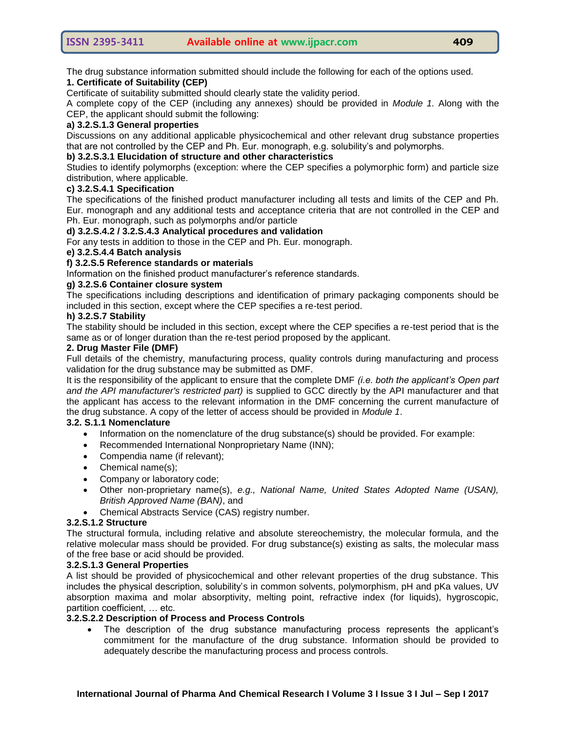The drug substance information submitted should include the following for each of the options used.

## **1. Certificate of Suitability (CEP)**

Certificate of suitability submitted should clearly state the validity period.

A complete copy of the CEP (including any annexes) should be provided in *Module 1.* Along with the CEP, the applicant should submit the following:

## **a) 3.2.S.1.3 General properties**

Discussions on any additional applicable physicochemical and other relevant drug substance properties that are not controlled by the CEP and Ph. Eur. monograph, e.g. solubility's and polymorphs.

## **b) 3.2.S.3.1 Elucidation of structure and other characteristics**

Studies to identify polymorphs (exception: where the CEP specifies a polymorphic form) and particle size distribution, where applicable.

## **c) 3.2.S.4.1 Specification**

The specifications of the finished product manufacturer including all tests and limits of the CEP and Ph. Eur. monograph and any additional tests and acceptance criteria that are not controlled in the CEP and Ph. Eur. monograph, such as polymorphs and/or particle

## **d) 3.2.S.4.2 / 3.2.S.4.3 Analytical procedures and validation**

For any tests in addition to those in the CEP and Ph. Eur. monograph.

## **e) 3.2.S.4.4 Batch analysis**

## **f) 3.2.S.5 Reference standards or materials**

Information on the finished product manufacturer's reference standards.

# **g) 3.2.S.6 Container closure system**

The specifications including descriptions and identification of primary packaging components should be included in this section, except where the CEP specifies a re-test period.

## **h) 3.2.S.7 Stability**

The stability should be included in this section, except where the CEP specifies a re-test period that is the same as or of longer duration than the re-test period proposed by the applicant.

## **2. Drug Master File (DMF)**

Full details of the chemistry, manufacturing process, quality controls during manufacturing and process validation for the drug substance may be submitted as DMF.

It is the responsibility of the applicant to ensure that the complete DMF *(i.e. both the applicant's Open part and the API manufacturer's restricted part)* is supplied to GCC directly by the API manufacturer and that the applicant has access to the relevant information in the DMF concerning the current manufacture of the drug substance. A copy of the letter of access should be provided in *Module 1*.

#### **3.2. S.1.1 Nomenclature**

- Information on the nomenclature of the drug substance(s) should be provided. For example:
- Recommended International Nonproprietary Name (INN);
- Compendia name (if relevant);
- Chemical name(s);
- Company or laboratory code;
- Other non-proprietary name(s), *e.g., National Name, United States Adopted Name (USAN), British Approved Name (BAN)*, and
- Chemical Abstracts Service (CAS) registry number.

#### **3.2.S.1.2 Structure**

The structural formula, including relative and absolute stereochemistry, the molecular formula, and the relative molecular mass should be provided. For drug substance(s) existing as salts, the molecular mass of the free base or acid should be provided.

#### **3.2.S.1.3 General Properties**

A list should be provided of physicochemical and other relevant properties of the drug substance. This includes the physical description, solubility's in common solvents, polymorphism, pH and pKa values, UV absorption maxima and molar absorptivity, melting point, refractive index (for liquids), hygroscopic, partition coefficient, … etc.

## **3.2.S.2.2 Description of Process and Process Controls**

 The description of the drug substance manufacturing process represents the applicant's commitment for the manufacture of the drug substance. Information should be provided to adequately describe the manufacturing process and process controls.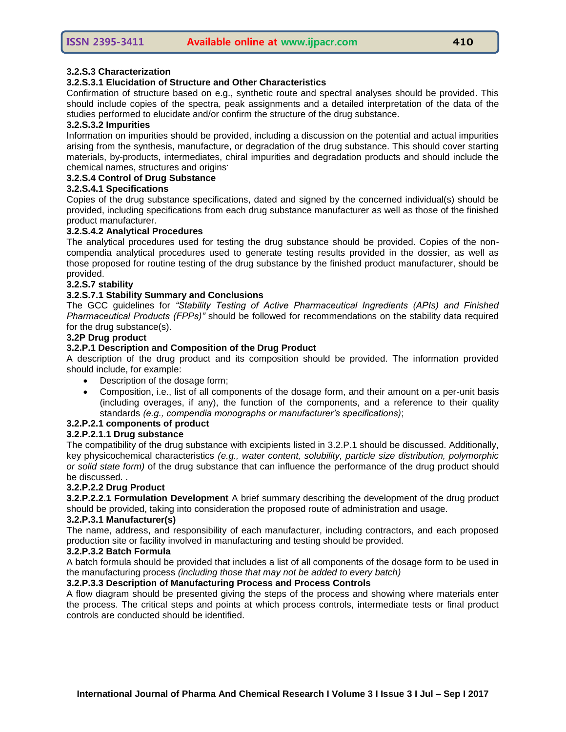#### **3.2.S.3 Characterization**

#### **3.2.S.3.1 Elucidation of Structure and Other Characteristics**

Confirmation of structure based on e.g., synthetic route and spectral analyses should be provided. This should include copies of the spectra, peak assignments and a detailed interpretation of the data of the studies performed to elucidate and/or confirm the structure of the drug substance.

#### **3.2.S.3.2 Impurities**

Information on impurities should be provided, including a discussion on the potential and actual impurities arising from the synthesis, manufacture, or degradation of the drug substance. This should cover starting materials, by-products, intermediates, chiral impurities and degradation products and should include the chemical names, structures and origins**.**

## **3.2.S.4 Control of Drug Substance**

#### **3.2.S.4.1 Specifications**

Copies of the drug substance specifications, dated and signed by the concerned individual(s) should be provided, including specifications from each drug substance manufacturer as well as those of the finished product manufacturer.

#### **3.2.S.4.2 Analytical Procedures**

The analytical procedures used for testing the drug substance should be provided. Copies of the noncompendia analytical procedures used to generate testing results provided in the dossier, as well as those proposed for routine testing of the drug substance by the finished product manufacturer, should be provided.

#### **3.2.S.7 stability**

#### **3.2.S.7.1 Stability Summary and Conclusions**

The GCC guidelines for *"Stability Testing of Active Pharmaceutical Ingredients (APIs) and Finished Pharmaceutical Products (FPPs)"* should be followed for recommendations on the stability data required for the drug substance(s).

#### **3.2P Drug product**

#### **3.2.P.1 Description and Composition of the Drug Product**

A description of the drug product and its composition should be provided. The information provided should include, for example:

- Description of the dosage form;
- Composition, i.e., list of all components of the dosage form, and their amount on a per-unit basis (including overages, if any), the function of the components, and a reference to their quality standards *(e.g., compendia monographs or manufacturer's specifications)*;

#### **3.2.P.2.1 components of product**

#### **3.2.P.2.1.1 Drug substance**

The compatibility of the drug substance with excipients listed in 3.2.P.1 should be discussed. Additionally, key physicochemical characteristics *(e.g., water content, solubility, particle size distribution, polymorphic or solid state form)* of the drug substance that can influence the performance of the drug product should be discussed. .

#### **3.2.P.2.2 Drug Product**

**3.2.P.2.2.1 Formulation Development** A brief summary describing the development of the drug product should be provided, taking into consideration the proposed route of administration and usage.

#### **3.2.P.3.1 Manufacturer(s)**

The name, address, and responsibility of each manufacturer, including contractors, and each proposed production site or facility involved in manufacturing and testing should be provided.

#### **3.2.P.3.2 Batch Formula**

A batch formula should be provided that includes a list of all components of the dosage form to be used in the manufacturing process *(including those that may not be added to every batch)*

#### **3.2.P.3.3 Description of Manufacturing Process and Process Controls**

A flow diagram should be presented giving the steps of the process and showing where materials enter the process. The critical steps and points at which process controls, intermediate tests or final product controls are conducted should be identified.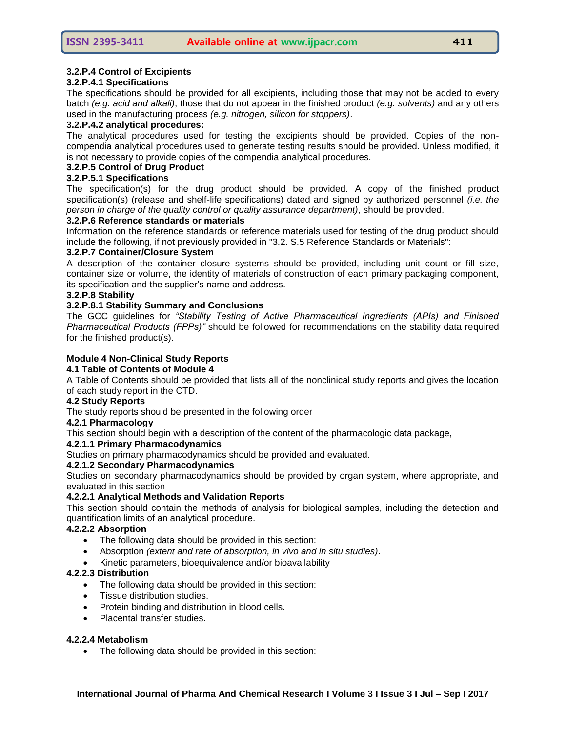## **3.2.P.4 Control of Excipients**

#### **3.2.P.4.1 Specifications**

The specifications should be provided for all excipients, including those that may not be added to every batch *(e.g. acid and alkali)*, those that do not appear in the finished product *(e.g. solvents)* and any others used in the manufacturing process *(e.g. nitrogen, silicon for stoppers)*.

#### **3.2.P.4.2 analytical procedures:**

The analytical procedures used for testing the excipients should be provided. Copies of the noncompendia analytical procedures used to generate testing results should be provided. Unless modified, it is not necessary to provide copies of the compendia analytical procedures.

## **3.2.P.5 Control of Drug Product**

## **3.2.P.5.1 Specifications**

The specification(s) for the drug product should be provided. A copy of the finished product specification(s) (release and shelf-life specifications) dated and signed by authorized personnel *(i.e. the person in charge of the quality control or quality assurance department)*, should be provided.

#### **3.2.P.6 Reference standards or materials**

Information on the reference standards or reference materials used for testing of the drug product should include the following, if not previously provided in "3.2. S.5 Reference Standards or Materials":

#### **3.2.P.7 Container/Closure System**

A description of the container closure systems should be provided, including unit count or fill size, container size or volume, the identity of materials of construction of each primary packaging component, its specification and the supplier's name and address.

#### **3.2.P.8 Stability**

#### **3.2.P.8.1 Stability Summary and Conclusions**

The GCC guidelines for *"Stability Testing of Active Pharmaceutical Ingredients (APIs) and Finished Pharmaceutical Products (FPPs)"* should be followed for recommendations on the stability data required for the finished product(s).

#### **Module 4 Non-Clinical Study Reports**

#### **4.1 Table of Contents of Module 4**

A Table of Contents should be provided that lists all of the nonclinical study reports and gives the location of each study report in the CTD.

## **4.2 Study Reports**

The study reports should be presented in the following order

## **4.2.1 Pharmacology**

This section should begin with a description of the content of the pharmacologic data package,

## **4.2.1.1 Primary Pharmacodynamics**

Studies on primary pharmacodynamics should be provided and evaluated.

#### **4.2.1.2 Secondary Pharmacodynamics**

Studies on secondary pharmacodynamics should be provided by organ system, where appropriate, and evaluated in this section

#### **4.2.2.1 Analytical Methods and Validation Reports**

This section should contain the methods of analysis for biological samples, including the detection and quantification limits of an analytical procedure.

## **4.2.2.2 Absorption**

- The following data should be provided in this section:
- Absorption *(extent and rate of absorption, in vivo and in situ studies)*.
- Kinetic parameters, bioequivalence and/or bioavailability

#### **4.2.2.3 Distribution**

- The following data should be provided in this section:
- Tissue distribution studies.
- Protein binding and distribution in blood cells.
- Placental transfer studies.

#### **4.2.2.4 Metabolism**

• The following data should be provided in this section: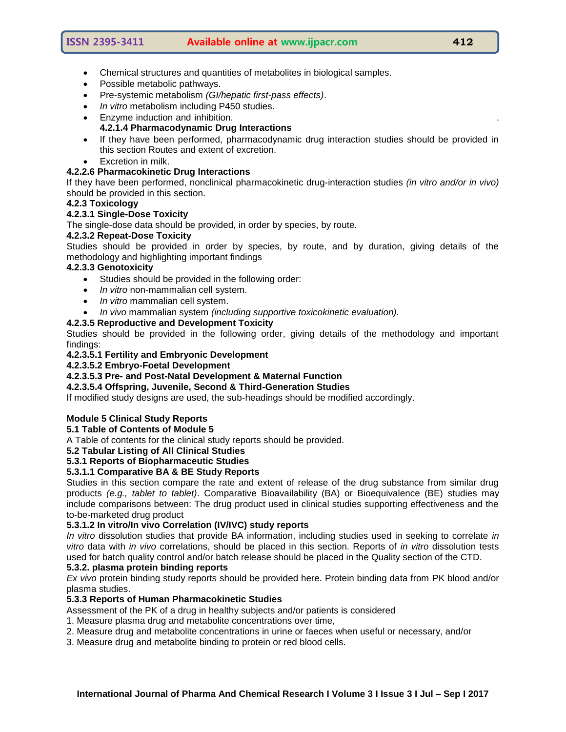- Chemical structures and quantities of metabolites in biological samples.
- Possible metabolic pathways.
- Pre-systemic metabolism *(GI/hepatic first-pass effects)*.
- *In vitro* metabolism including P450 studies.
- Enzyme induction and inhibition. **4.2.1.4 Pharmacodynamic Drug Interactions**
- If they have been performed, pharmacodynamic drug interaction studies should be provided in this section Routes and extent of excretion.
- Excretion in milk.

## **4.2.2.6 Pharmacokinetic Drug Interactions**

If they have been performed, nonclinical pharmacokinetic drug-interaction studies *(in vitro and/or in vivo)*  should be provided in this section.

#### **4.2.3 Toxicology**

#### **4.2.3.1 Single-Dose Toxicity**

The single-dose data should be provided, in order by species, by route.

## **4.2.3.2 Repeat-Dose Toxicity**

Studies should be provided in order by species, by route, and by duration, giving details of the methodology and highlighting important findings

#### **4.2.3.3 Genotoxicity**

- Studies should be provided in the following order:
- *In vitro* non-mammalian cell system.
- *In vitro* mammalian cell system.
- *In vivo* mammalian system *(including supportive toxicokinetic evaluation).*

## **4.2.3.5 Reproductive and Development Toxicity**

Studies should be provided in the following order, giving details of the methodology and important findings:

#### **4.2.3.5.1 Fertility and Embryonic Development**

## **4.2.3.5.2 Embryo-Foetal Development**

## **4.2.3.5.3 Pre- and Post-Natal Development & Maternal Function**

**4.2.3.5.4 Offspring, Juvenile, Second & Third-Generation Studies** 

If modified study designs are used, the sub-headings should be modified accordingly.

## **Module 5 Clinical Study Reports**

#### **5.1 Table of Contents of Module 5**

A Table of contents for the clinical study reports should be provided.

#### **5.2 Tabular Listing of All Clinical Studies**

#### **5.3.1 Reports of Biopharmaceutic Studies**

## **5.3.1.1 Comparative BA & BE Study Reports**

Studies in this section compare the rate and extent of release of the drug substance from similar drug products *(e.g., tablet to tablet)*. Comparative Bioavailability (BA) or Bioequivalence (BE) studies may include comparisons between: The drug product used in clinical studies supporting effectiveness and the to-be-marketed drug product

#### **5.3.1.2 In vitro/In vivo Correlation (IV/IVC) study reports**

*In vitro* dissolution studies that provide BA information, including studies used in seeking to correlate *in vitro* data with *in vivo* correlations, should be placed in this section. Reports of *in vitro* dissolution tests used for batch quality control and/or batch release should be placed in the Quality section of the CTD.

# **5.3.2. plasma protein binding reports**

*Ex vivo* protein binding study reports should be provided here. Protein binding data from PK blood and/or plasma studies.

#### **5.3.3 Reports of Human Pharmacokinetic Studies**

Assessment of the PK of a drug in healthy subjects and/or patients is considered

- 1. Measure plasma drug and metabolite concentrations over time,
- 2. Measure drug and metabolite concentrations in urine or faeces when useful or necessary, and/or
- 3. Measure drug and metabolite binding to protein or red blood cells.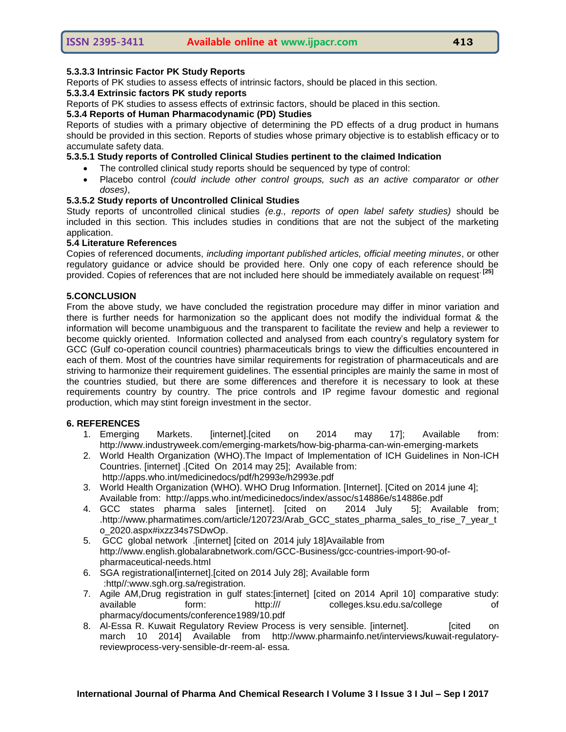## **5.3.3.3 Intrinsic Factor PK Study Reports**

Reports of PK studies to assess effects of intrinsic factors, should be placed in this section.

#### **5.3.3.4 Extrinsic factors PK study reports**

Reports of PK studies to assess effects of extrinsic factors, should be placed in this section.

#### **5.3.4 Reports of Human Pharmacodynamic (PD) Studies**

Reports of studies with a primary objective of determining the PD effects of a drug product in humans should be provided in this section. Reports of studies whose primary objective is to establish efficacy or to accumulate safety data.

## **5.3.5.1 Study reports of Controlled Clinical Studies pertinent to the claimed Indication**

- The controlled clinical study reports should be sequenced by type of control:
- Placebo control *(could include other control groups, such as an active comparator or other doses)*,

#### **5.3.5.2 Study reports of Uncontrolled Clinical Studies**

Study reports of uncontrolled clinical studies *(e.g., reports of open label safety studies)* should be included in this section. This includes studies in conditions that are not the subject of the marketing application.

## **5.4 Literature References**

Copies of referenced documents, *including important published articles, official meeting minutes*, or other regulatory guidance or advice should be provided here. Only one copy of each reference should be provided. Copies of references that are not included here should be immediately available on request**. [25]**

#### **5.CONCLUSION**

From the above study, we have concluded the registration procedure may differ in minor variation and there is further needs for harmonization so the applicant does not modify the individual format & the information will become unambiguous and the transparent to facilitate the review and help a reviewer to become quickly oriented. Information collected and analysed from each country's regulatory system for GCC (Gulf co-operation council countries) pharmaceuticals brings to view the difficulties encountered in each of them. Most of the countries have similar requirements for registration of pharmaceuticals and are striving to harmonize their requirement guidelines. The essential principles are mainly the same in most of the countries studied, but there are some differences and therefore it is necessary to look at these requirements country by country. The price controls and IP regime favour domestic and regional production, which may stint foreign investment in the sector.

#### **6. REFERENCES**

- 1. Emerging Markets. [internet].[cited on 2014 may 17]; Available from: <http://www.industryweek.com/emerging-markets/how-big-pharma-can-win-emerging-markets>
- 2. World Health Organization (WHO).The Impact of Implementation of ICH Guidelines in Non-ICH Countries. [internet] .[Cited On 2014 may 25]; Available from: <http://apps.who.int/medicinedocs/pdf/h2993e/h2993e.pdf>
- 3. World Health Organization (WHO). WHO Drug Information. [Internet]. [Cited on 2014 june 4]; Available from: <http://apps.who.int/medicinedocs/index/assoc/s14886e/s14886e.pdf>
- 4. GCC states pharma sales [internet]. [cited on 2014 July 5]; Available from; [.http://www.pharmatimes.com/article/120723/Arab\\_GCC\\_states\\_pharma\\_sales\\_to\\_rise\\_7\\_year\\_t](http://www.pharmatimes.com/article/120723/Arab_GCC_states_pharma_sales_to_rise_7_year_to_2020.aspx#ixzz34s7SDwOp) [o\\_2020.aspx#ixzz34s7SDwOp.](http://www.pharmatimes.com/article/120723/Arab_GCC_states_pharma_sales_to_rise_7_year_to_2020.aspx#ixzz34s7SDwOp)
- 5. GCC global network .[internet] [cited on 2014 july 18]Available from [http://www.english.globalarabnetwork.com/GCC-Business/gcc-countries-import-90-of](http://www.english.globalarabnetwork.com/GCC-Business/gcc-countries-import-90-of-pharmaceutical-needs.html)[pharmaceutical-needs.html](http://www.english.globalarabnetwork.com/GCC-Business/gcc-countries-import-90-of-pharmaceutical-needs.html)
- 6. SGA registrational[internet].[cited on 2014 July 28]; Available form :http//:www.sgh.org.sa/registration.
- 7. Agile AM,Drug registration in gulf states:[internet] [cited on 2014 April 10] comparative study: available form: http:/// colleges.ksu.edu.sa/college of pharmacy/documents/conference1989/10.pdf
- 8. Al-Essa R. Kuwait Regulatory Review Process is very sensible. [internet]. [cited on march 10 2014] Available from [http://www.pharmainfo.net/interviews/kuwait-regulatory](http://www.pharmainfo.net/interviews/kuwait-regulatory-reviewprocess-very-sensible-dr-reem-al-essa)[reviewprocess-very-sensible-dr-reem-al-](http://www.pharmainfo.net/interviews/kuwait-regulatory-reviewprocess-very-sensible-dr-reem-al-essa) [essa.](http://www.pharmainfo.net/interviews/kuwait-regulatory-reviewprocess-very-sensible-dr-reem-al-essa)